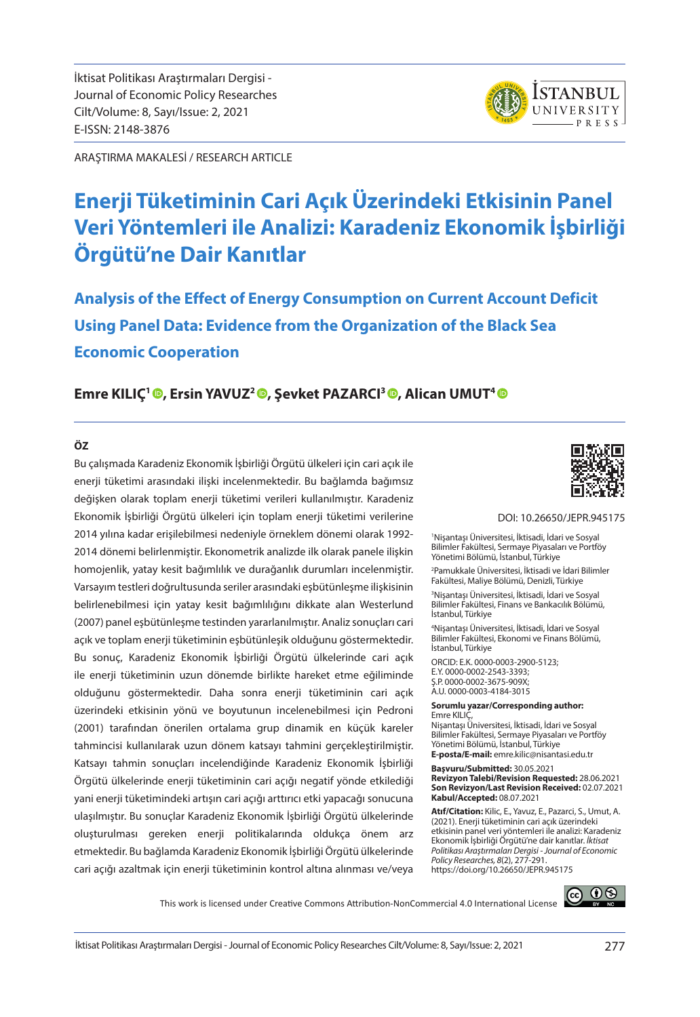İktisat Politikası Araştırmaları Dergisi - Journal of Economic Policy Researches Cilt/Volume: 8, Sayı/Issue: 2, 2021 E-ISSN: 2148-3876

ARAŞTIRMA MAKALESİ / RESEARCH ARTICLE

# **Enerji Tüketiminin Cari Açık Üzerindeki Etkisinin Panel Veri Yöntemleri ile Analizi: Karadeniz Ekonomik İşbirliği Örgütü'ne Dair Kanıtlar**

**Analysis of the Effect of Energy Consumption on Current Account Deficit Using Panel Data: Evidence from the Organization of the Black Sea Economic Cooperation**

#### **Emre KILIÇ<sup>1</sup> ©, Ersin YAVUZ<sup>2</sup> ©, Şevket PAZARCI<sup>3</sup> ©, Alican UMUT<sup>4</sup> ©**

#### **ÖZ**

Bu çalışmada Karadeniz Ekonomik İşbirliği Örgütü ülkeleri için cari açık ile enerji tüketimi arasındaki ilişki incelenmektedir. Bu bağlamda bağımsız değişken olarak toplam enerji tüketimi verileri kullanılmıştır. Karadeniz Ekonomik İşbirliği Örgütü ülkeleri için toplam enerji tüketimi verilerine 2014 yılına kadar erişilebilmesi nedeniyle örneklem dönemi olarak 1992- 2014 dönemi belirlenmiştir. Ekonometrik analizde ilk olarak panele ilişkin homojenlik, yatay kesit bağımlılık ve durağanlık durumları incelenmiştir. Varsayım testleri doğrultusunda seriler arasındaki eşbütünleşme ilişkisinin belirlenebilmesi için yatay kesit bağımlılığını dikkate alan Westerlund (2007) panel eşbütünleşme testinden yararlanılmıştır. Analiz sonuçları cari açık ve toplam enerji tüketiminin eşbütünleşik olduğunu göstermektedir. Bu sonuç, Karadeniz Ekonomik İşbirliği Örgütü ülkelerinde cari açık ile enerji tüketiminin uzun dönemde birlikte hareket etme eğiliminde olduğunu göstermektedir. Daha sonra enerji tüketiminin cari açık üzerindeki etkisinin yönü ve boyutunun incelenebilmesi için Pedroni (2001) tarafından önerilen ortalama grup dinamik en küçük kareler tahmincisi kullanılarak uzun dönem katsayı tahmini gerçekleştirilmiştir. Katsayı tahmin sonuçları incelendiğinde Karadeniz Ekonomik İşbirliği Örgütü ülkelerinde enerji tüketiminin cari açığı negatif yönde etkilediği yani enerji tüketimindeki artışın cari açığı arttırıcı etki yapacağı sonucuna ulaşılmıştır. Bu sonuçlar Karadeniz Ekonomik İşbirliği Örgütü ülkelerinde oluşturulması gereken enerji politikalarında oldukça önem arz etmektedir. Bu bağlamda Karadeniz Ekonomik İşbirliği Örgütü ülkelerinde cari açığı azaltmak için enerji tüketiminin kontrol altına alınması ve/veya



ISTANBUL **UNIVERSITY** D D E C C

#### DOI: 10.26650/JEPR.945175

1 Nişantaşı Üniversitesi, İktisadi, İdari ve Sosyal Bilimler Fakültesi, Sermaye Piyasaları ve Portföy Yönetimi Bölümü, İstanbul, Türkiye

2 Pamukkale Üniversitesi, İktisadi ve İdari Bilimler Fakültesi, Maliye Bölümü, Denizli, Türkiye

3 Nişantaşı Üniversitesi, İktisadi, İdari ve Sosyal Bilimler Fakültesi, Finans ve Bankacılık Bölümü, İstanbul, Türkiye

4 Nişantaşı Üniversitesi, İktisadi, İdari ve Sosyal Bilimler Fakültesi, Ekonomi ve Finans Bölümü, İstanbul, Türkiye

ORCID: E.K. 0000-0003-2900-5123; E.Y. 0000-0002-2543-3393; Ş.P. 0000-0002-3675-909X; A.U. 0000-0003-4184-3015

**Sorumlu yazar/Corresponding author:** Emre KILIÇ,

Nişantaşı Üniversitesi, İktisadi, İdari ve Sosyal Bilimler Fakültesi, Sermaye Piyasaları ve Portföy Yönetimi Bölümü, İstanbul, Türkiye **E-posta/E-mail:** emre.kilic@nisantasi.edu.tr

**Başvuru/Submitted:** 30.05.2021

**Revizyon Talebi/Revision Requested:** 28.06.2021 **Son Revizyon/Last Revision Received:** 02.07.2021 **Kabul/Accepted:** 08.07.2021

**Atıf/Citation:** Kilic, E., Yavuz, E., Pazarci, S., Umut, A. (2021). Enerji tüketiminin cari açık üzerindeki etkisinin panel veri yöntemleri ile analizi: Karadeniz Ekonomik İşbirliği Örgütü'ne dair kanıtlar. *İktisat Politikası Araştırmaları Dergisi - Journal of Economic Policy Researches, 8*(2), 277-291. https://doi.org/10.26650/JEPR.945175

This work is licensed under Creative Commons Attribution-NonCommercial 4.0 International License

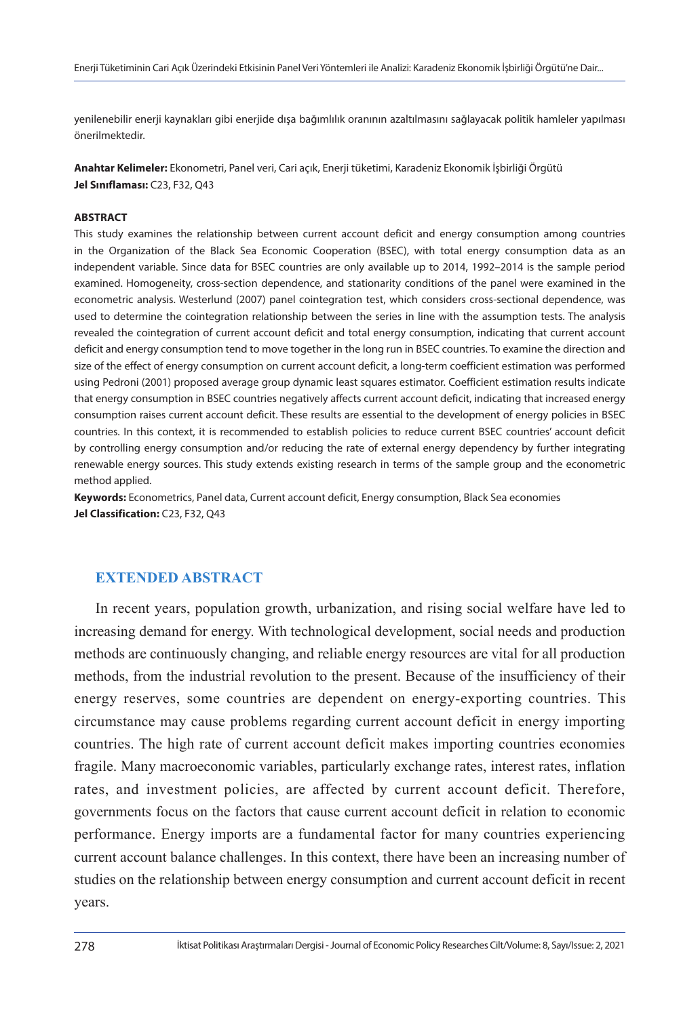yenilenebilir enerji kaynakları gibi enerjide dışa bağımlılık oranının azaltılmasını sağlayacak politik hamleler yapılması önerilmektedir.

**Anahtar Kelimeler:** Ekonometri, Panel veri, Cari açık, Enerji tüketimi, Karadeniz Ekonomik İşbirliği Örgütü **Jel Sınıflaması:** C23, F32, Q43

#### **ABSTRACT**

This study examines the relationship between current account deficit and energy consumption among countries in the Organization of the Black Sea Economic Cooperation (BSEC), with total energy consumption data as an independent variable. Since data for BSEC countries are only available up to 2014, 1992–2014 is the sample period examined. Homogeneity, cross-section dependence, and stationarity conditions of the panel were examined in the econometric analysis. Westerlund (2007) panel cointegration test, which considers cross-sectional dependence, was used to determine the cointegration relationship between the series in line with the assumption tests. The analysis revealed the cointegration of current account deficit and total energy consumption, indicating that current account deficit and energy consumption tend to move together in the long run in BSEC countries. To examine the direction and size of the effect of energy consumption on current account deficit, a long-term coefficient estimation was performed using Pedroni (2001) proposed average group dynamic least squares estimator. Coefficient estimation results indicate that energy consumption in BSEC countries negatively affects current account deficit, indicating that increased energy consumption raises current account deficit. These results are essential to the development of energy policies in BSEC countries. In this context, it is recommended to establish policies to reduce current BSEC countries' account deficit by controlling energy consumption and/or reducing the rate of external energy dependency by further integrating renewable energy sources. This study extends existing research in terms of the sample group and the econometric method applied.

**Keywords:** Econometrics, Panel data, Current account deficit, Energy consumption, Black Sea economies **Jel Classification:** C23, F32, Q43

### **EXTENDED ABSTRACT**

In recent years, population growth, urbanization, and rising social welfare have led to increasing demand for energy. With technological development, social needs and production methods are continuously changing, and reliable energy resources are vital for all production methods, from the industrial revolution to the present. Because of the insufficiency of their energy reserves, some countries are dependent on energy-exporting countries. This circumstance may cause problems regarding current account deficit in energy importing countries. The high rate of current account deficit makes importing countries economies fragile. Many macroeconomic variables, particularly exchange rates, interest rates, inflation rates, and investment policies, are affected by current account deficit. Therefore, governments focus on the factors that cause current account deficit in relation to economic performance. Energy imports are a fundamental factor for many countries experiencing current account balance challenges. In this context, there have been an increasing number of studies on the relationship between energy consumption and current account deficit in recent years.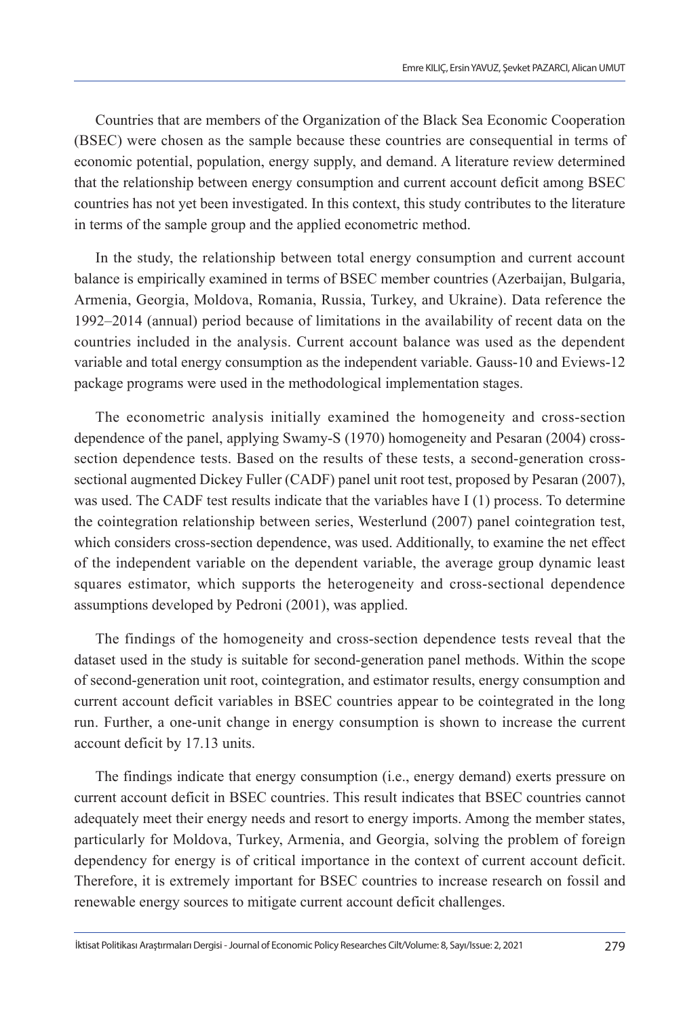Countries that are members of the Organization of the Black Sea Economic Cooperation (BSEC) were chosen as the sample because these countries are consequential in terms of economic potential, population, energy supply, and demand. A literature review determined that the relationship between energy consumption and current account deficit among BSEC countries has not yet been investigated. In this context, this study contributes to the literature in terms of the sample group and the applied econometric method.

In the study, the relationship between total energy consumption and current account balance is empirically examined in terms of BSEC member countries (Azerbaijan, Bulgaria, Armenia, Georgia, Moldova, Romania, Russia, Turkey, and Ukraine). Data reference the 1992–2014 (annual) period because of limitations in the availability of recent data on the countries included in the analysis. Current account balance was used as the dependent variable and total energy consumption as the independent variable. Gauss-10 and Eviews-12 package programs were used in the methodological implementation stages.

The econometric analysis initially examined the homogeneity and cross-section dependence of the panel, applying Swamy-S (1970) homogeneity and Pesaran (2004) crosssection dependence tests. Based on the results of these tests, a second-generation crosssectional augmented Dickey Fuller (CADF) panel unit root test, proposed by Pesaran (2007), was used. The CADF test results indicate that the variables have I (1) process. To determine the cointegration relationship between series, Westerlund (2007) panel cointegration test, which considers cross-section dependence, was used. Additionally, to examine the net effect of the independent variable on the dependent variable, the average group dynamic least squares estimator, which supports the heterogeneity and cross-sectional dependence assumptions developed by Pedroni (2001), was applied.

The findings of the homogeneity and cross-section dependence tests reveal that the dataset used in the study is suitable for second-generation panel methods. Within the scope of second-generation unit root, cointegration, and estimator results, energy consumption and current account deficit variables in BSEC countries appear to be cointegrated in the long run. Further, a one-unit change in energy consumption is shown to increase the current account deficit by 17.13 units.

The findings indicate that energy consumption (i.e., energy demand) exerts pressure on current account deficit in BSEC countries. This result indicates that BSEC countries cannot adequately meet their energy needs and resort to energy imports. Among the member states, particularly for Moldova, Turkey, Armenia, and Georgia, solving the problem of foreign dependency for energy is of critical importance in the context of current account deficit. Therefore, it is extremely important for BSEC countries to increase research on fossil and renewable energy sources to mitigate current account deficit challenges.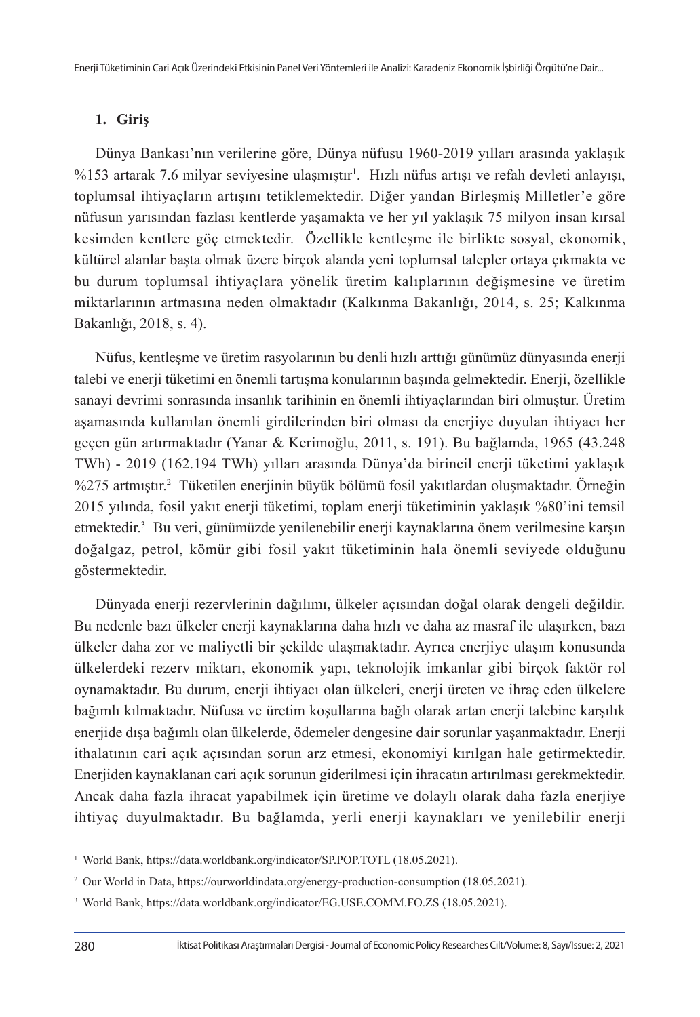### **1. Giriş**

Dünya Bankası'nın verilerine göre, Dünya nüfusu 1960-2019 yılları arasında yaklaşık %153 artarak 7.6 milyar seviyesine ulaşmıştır<sup>ı</sup>. Hızlı nüfus artışı ve refah devleti anlayışı, toplumsal ihtiyaçların artışını tetiklemektedir. Diğer yandan Birleşmiş Milletler'e göre nüfusun yarısından fazlası kentlerde yaşamakta ve her yıl yaklaşık 75 milyon insan kırsal kesimden kentlere göç etmektedir. Özellikle kentleşme ile birlikte sosyal, ekonomik, kültürel alanlar başta olmak üzere birçok alanda yeni toplumsal talepler ortaya çıkmakta ve bu durum toplumsal ihtiyaçlara yönelik üretim kalıplarının değişmesine ve üretim miktarlarının artmasına neden olmaktadır (Kalkınma Bakanlığı, 2014, s. 25; Kalkınma Bakanlığı, 2018, s. 4).

Nüfus, kentleşme ve üretim rasyolarının bu denli hızlı arttığı günümüz dünyasında enerji talebi ve enerji tüketimi en önemli tartışma konularının başında gelmektedir. Enerji, özellikle sanayi devrimi sonrasında insanlık tarihinin en önemli ihtiyaçlarından biri olmuştur. Üretim aşamasında kullanılan önemli girdilerinden biri olması da enerjiye duyulan ihtiyacı her geçen gün artırmaktadır (Yanar & Kerimoğlu, 2011, s. 191). Bu bağlamda, 1965 (43.248 TWh) - 2019 (162.194 TWh) yılları arasında Dünya'da birincil enerji tüketimi yaklaşık %275 artmıştır.<sup>2</sup> Tüketilen enerjinin büyük bölümü fosil yakıtlardan oluşmaktadır. Örneğin 2015 yılında, fosil yakıt enerji tüketimi, toplam enerji tüketiminin yaklaşık %80'ini temsil etmektedir.<sup>3</sup> Bu veri, günümüzde yenilenebilir enerji kaynaklarına önem verilmesine karşın doğalgaz, petrol, kömür gibi fosil yakıt tüketiminin hala önemli seviyede olduğunu göstermektedir.

Dünyada enerji rezervlerinin dağılımı, ülkeler açısından doğal olarak dengeli değildir. Bu nedenle bazı ülkeler enerji kaynaklarına daha hızlı ve daha az masraf ile ulaşırken, bazı ülkeler daha zor ve maliyetli bir şekilde ulaşmaktadır. Ayrıca enerjiye ulaşım konusunda ülkelerdeki rezerv miktarı, ekonomik yapı, teknolojik imkanlar gibi birçok faktör rol oynamaktadır. Bu durum, enerji ihtiyacı olan ülkeleri, enerji üreten ve ihraç eden ülkelere bağımlı kılmaktadır. Nüfusa ve üretim koşullarına bağlı olarak artan enerji talebine karşılık enerjide dışa bağımlı olan ülkelerde, ödemeler dengesine dair sorunlar yaşanmaktadır. Enerji ithalatının cari açık açısından sorun arz etmesi, ekonomiyi kırılgan hale getirmektedir. Enerjiden kaynaklanan cari açık sorunun giderilmesi için ihracatın artırılması gerekmektedir. Ancak daha fazla ihracat yapabilmek için üretime ve dolaylı olarak daha fazla enerjiye ihtiyaç duyulmaktadır. Bu bağlamda, yerli enerji kaynakları ve yenilebilir enerji

<sup>&</sup>lt;sup>1</sup> World Bank, https://data.worldbank.org/indicator/SP.POP.TOTL (18.05.2021).

<sup>2</sup> Our World in Data, https://ourworldindata.org/energy-production-consumption (18.05.2021).

<sup>3</sup> World Bank, https://data.worldbank.org/indicator/EG.USE.COMM.FO.ZS (18.05.2021).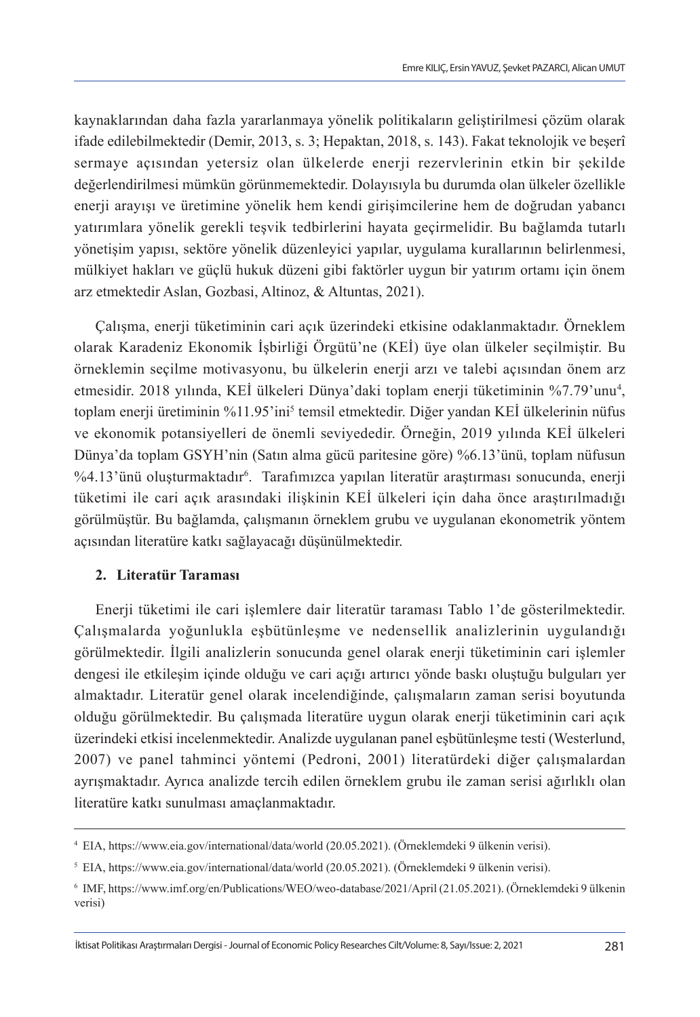kaynaklarından daha fazla yararlanmaya yönelik politikaların geliştirilmesi çözüm olarak ifade edilebilmektedir (Demir, 2013, s. 3; Hepaktan, 2018, s. 143). Fakat teknolojik ve beşerî sermaye açısından yetersiz olan ülkelerde enerji rezervlerinin etkin bir şekilde değerlendirilmesi mümkün görünmemektedir. Dolayısıyla bu durumda olan ülkeler özellikle enerji arayışı ve üretimine yönelik hem kendi girişimcilerine hem de doğrudan yabancı yatırımlara yönelik gerekli teşvik tedbirlerini hayata geçirmelidir. Bu bağlamda tutarlı yönetişim yapısı, sektöre yönelik düzenleyici yapılar, uygulama kurallarının belirlenmesi, mülkiyet hakları ve güçlü hukuk düzeni gibi faktörler uygun bir yatırım ortamı için önem arz etmektedir Aslan, Gozbasi, Altinoz, & Altuntas, 2021).

Çalışma, enerji tüketiminin cari açık üzerindeki etkisine odaklanmaktadır. Örneklem olarak Karadeniz Ekonomik İşbirliği Örgütü'ne (KEİ) üye olan ülkeler seçilmiştir. Bu örneklemin seçilme motivasyonu, bu ülkelerin enerji arzı ve talebi açısından önem arz etmesidir. 2018 yılında, KEİ ülkeleri Dünya'daki toplam enerji tüketiminin %7.79'unu<sup>4</sup> , toplam enerji üretiminin %11.95'ini<sup>5</sup> temsil etmektedir. Diğer yandan KEI ülkelerinin nüfus ve ekonomik potansiyelleri de önemli seviyededir. Örneğin, 2019 yılında KEİ ülkeleri Dünya'da toplam GSYH'nin (Satın alma gücü paritesine göre) %6.13'ünü, toplam nüfusun %4.13'ünü oluşturmaktadır6 . Tarafımızca yapılan literatür araştırması sonucunda, enerji tüketimi ile cari açık arasındaki ilişkinin KEİ ülkeleri için daha önce araştırılmadığı görülmüştür. Bu bağlamda, çalışmanın örneklem grubu ve uygulanan ekonometrik yöntem açısından literatüre katkı sağlayacağı düşünülmektedir.

### **2. Literatür Taraması**

Enerji tüketimi ile cari işlemlere dair literatür taraması Tablo 1'de gösterilmektedir. Çalışmalarda yoğunlukla eşbütünleşme ve nedensellik analizlerinin uygulandığı görülmektedir. İlgili analizlerin sonucunda genel olarak enerji tüketiminin cari işlemler dengesi ile etkileşim içinde olduğu ve cari açığı artırıcı yönde baskı oluştuğu bulguları yer almaktadır. Literatür genel olarak incelendiğinde, çalışmaların zaman serisi boyutunda olduğu görülmektedir. Bu çalışmada literatüre uygun olarak enerji tüketiminin cari açık üzerindeki etkisi incelenmektedir. Analizde uygulanan panel eşbütünleşme testi (Westerlund, 2007) ve panel tahminci yöntemi (Pedroni, 2001) literatürdeki diğer çalışmalardan ayrışmaktadır. Ayrıca analizde tercih edilen örneklem grubu ile zaman serisi ağırlıklı olan literatüre katkı sunulması amaçlanmaktadır.

<sup>4</sup> EIA, https://www.eia.gov/international/data/world (20.05.2021). (Örneklemdeki 9 ülkenin verisi).

<sup>5</sup> EIA, https://www.eia.gov/international/data/world (20.05.2021). (Örneklemdeki 9 ülkenin verisi).

<sup>6</sup> IMF, https://www.imf.org/en/Publications/WEO/weo-database/2021/April (21.05.2021). (Örneklemdeki 9 ülkenin verisi)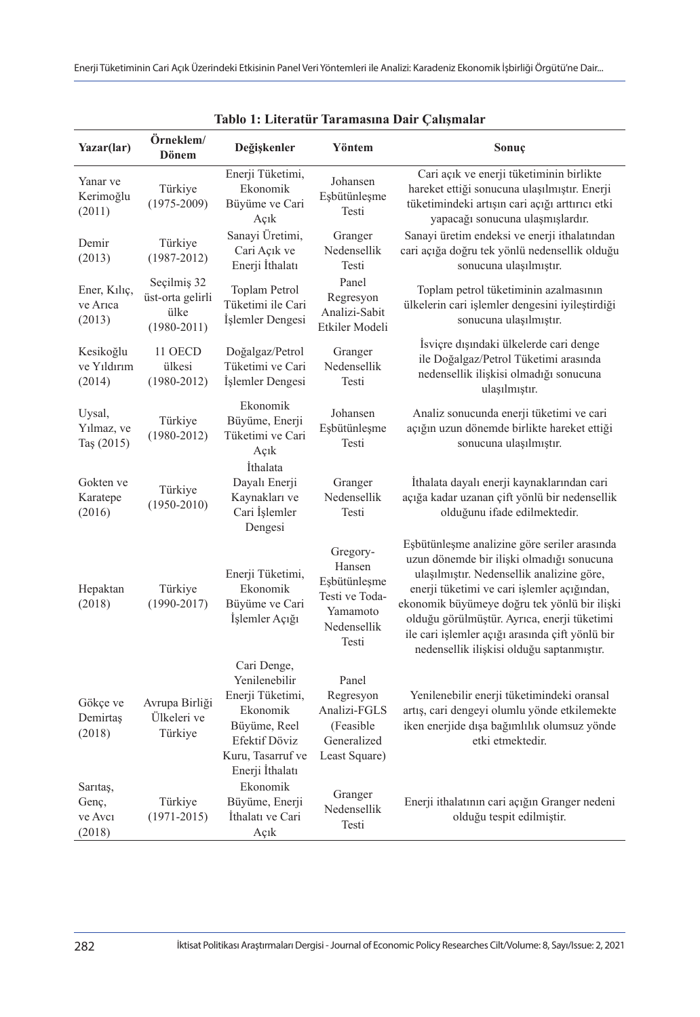| Yazar(lar)                             | Örneklem/<br><b>Dönem</b>                                  | Değişkenler                                                                                                                           | Yöntem                                                                                   | Sonuç                                                                                                                                                                                                                                                                                                                                                                                |
|----------------------------------------|------------------------------------------------------------|---------------------------------------------------------------------------------------------------------------------------------------|------------------------------------------------------------------------------------------|--------------------------------------------------------------------------------------------------------------------------------------------------------------------------------------------------------------------------------------------------------------------------------------------------------------------------------------------------------------------------------------|
| Yanar ve<br>Kerimoğlu<br>(2011)        | Türkiye<br>$(1975 - 2009)$                                 | Enerji Tüketimi,<br>Ekonomik<br>Büyüme ve Cari<br>Açık                                                                                | Johansen<br>Esbütünleşme<br>Testi                                                        | Cari açık ve enerji tüketiminin birlikte<br>hareket ettiği sonucuna ulaşılmıştır. Enerji<br>tüketimindeki artışın cari açığı arttırıcı etki<br>yapacağı sonucuna ulaşmışlardır.                                                                                                                                                                                                      |
| Demir<br>(2013)                        | Türkiye<br>$(1987 - 2012)$                                 | Sanayi Üretimi,<br>Cari Açık ve<br>Enerji İthalatı                                                                                    | Granger<br>Nedensellik<br>Testi                                                          | Sanayi üretim endeksi ve enerji ithalatından<br>cari açığa doğru tek yönlü nedensellik olduğu<br>sonucuna ulaşılmıştır.                                                                                                                                                                                                                                                              |
| Ener, Kiliç,<br>ve Arica<br>(2013)     | Seçilmiş 32<br>üst-orta gelirli<br>ülke<br>$(1980 - 2011)$ | Toplam Petrol<br>Tüketimi ile Cari<br>İşlemler Dengesi                                                                                | Panel<br>Regresyon<br>Analizi-Sabit<br>Etkiler Modeli                                    | Toplam petrol tüketiminin azalmasının<br>ülkelerin cari işlemler dengesini iyileştirdiği<br>sonucuna ulaşılmıştır.                                                                                                                                                                                                                                                                   |
| Kesikoğlu<br>ve Yıldırım<br>(2014)     | 11 OECD<br>ülkesi<br>$(1980 - 2012)$                       | Doğalgaz/Petrol<br>Tüketimi ve Cari<br>İşlemler Dengesi                                                                               | Granger<br>Nedensellik<br>Testi                                                          | Isviçre dışındaki ülkelerde cari denge<br>ile Doğalgaz/Petrol Tüketimi arasında<br>nedensellik ilişkisi olmadığı sonucuna<br>ulaşılmıştır.                                                                                                                                                                                                                                           |
| Uysal,<br>Yilmaz, ve<br>Taş $(2015)$   | Türkiye<br>$(1980 - 2012)$                                 | Ekonomik<br>Büyüme, Enerji<br>Tüketimi ve Cari<br>Açık                                                                                | Johansen<br>Eşbütünleşme<br>Testi                                                        | Analiz sonucunda enerji tüketimi ve cari<br>açığın uzun dönemde birlikte hareket ettiği<br>sonucuna ulaşılmıştır.                                                                                                                                                                                                                                                                    |
| Gokten ve<br>Karatepe<br>(2016)        | Türkiye<br>$(1950 - 2010)$                                 | <i>Ithalata</i><br>Dayalı Enerji<br>Kaynakları ve<br>Cari İşlemler<br>Dengesi                                                         | Granger<br>Nedensellik<br>Testi                                                          | İthalata dayalı enerji kaynaklarından cari<br>açığa kadar uzanan çift yönlü bir nedensellik<br>olduğunu ifade edilmektedir.                                                                                                                                                                                                                                                          |
| Hepaktan<br>(2018)                     | Türkiye<br>$(1990 - 2017)$                                 | Enerji Tüketimi,<br>Ekonomik<br>Büyüme ve Cari<br>İşlemler Açığı                                                                      | Gregory-<br>Hansen<br>Esbütünleşme<br>Testi ve Toda-<br>Yamamoto<br>Nedensellik<br>Testi | Esbütünleşme analizine göre seriler arasında<br>uzun dönemde bir ilişki olmadığı sonucuna<br>ulaşılmıştır. Nedensellik analizine göre,<br>enerji tüketimi ve cari işlemler açığından,<br>ekonomik büyümeye doğru tek yönlü bir ilişki<br>olduğu görülmüştür. Ayrıca, enerji tüketimi<br>ile cari işlemler açığı arasında çift yönlü bir<br>nedensellik ilişkisi olduğu saptanmıştır. |
| Gökçe ve<br>Demirtas<br>(2018)         | Avrupa Birliği<br>Ülkeleri ve<br>Türkiye                   | Cari Denge,<br>Yenilenebilir<br>Enerji Tüketimi,<br>Ekonomik<br>Büyüme, Reel<br>Efektif Döviz<br>Kuru, Tasarruf ve<br>Enerji İthalatı | Panel<br>Regresyon<br>Analizi-FGLS<br>(Feasible)<br>Generalized<br>Least Square)         | Yenilenebilir enerji tüketimindeki oransal<br>artış, cari dengeyi olumlu yönde etkilemekte<br>iken enerjide dışa bağımlılık olumsuz yönde<br>etki etmektedir.                                                                                                                                                                                                                        |
| Sarıtaş,<br>Genc,<br>ve Avcı<br>(2018) | Türkiye<br>$(1971 - 2015)$                                 | Ekonomik<br>Büyüme, Enerji<br>İthalatı ve Cari<br>Açık                                                                                | Granger<br>Nedensellik<br>Testi                                                          | Enerji ithalatının cari açığın Granger nedeni<br>olduğu tespit edilmiştir.                                                                                                                                                                                                                                                                                                           |

**Tablo 1: Literatür Taramasına Dair Çalışmalar**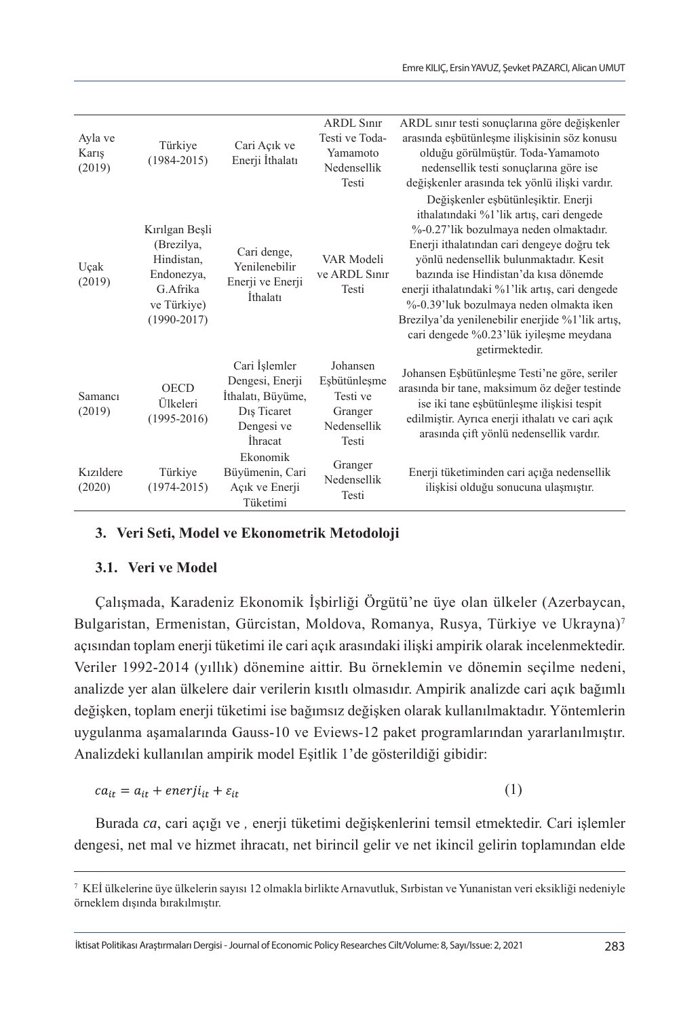| Ayla ve<br>Karış<br>(2019)       | Türkiye<br>$(1984 - 2015)$                                                                             | Cari Açık ve<br>Enerji İthalatı                                                                                    | ARDL Sinir<br>Testi ve Toda-<br>Yamamoto<br>Nedensellik<br>Testi        | ARDL sınır testi sonuçlarına göre değişkenler<br>arasında eşbütünleşme ilişkisinin söz konusu<br>olduğu görülmüştür. Toda-Yamamoto<br>nedensellik testi sonuçlarına göre ise<br>değişkenler arasında tek yönlü ilişki vardır.                                                                                                                                                                                                                                             |
|----------------------------------|--------------------------------------------------------------------------------------------------------|--------------------------------------------------------------------------------------------------------------------|-------------------------------------------------------------------------|---------------------------------------------------------------------------------------------------------------------------------------------------------------------------------------------------------------------------------------------------------------------------------------------------------------------------------------------------------------------------------------------------------------------------------------------------------------------------|
| Uçak<br>(2019)                   | Kırılgan Beşli<br>(Brezilya,<br>Hindistan.<br>Endonezya,<br>G.Afrika<br>ve Türkiye)<br>$(1990 - 2017)$ | Cari denge,<br>Yenilenebilir<br>Enerji ve Enerji<br>İthalatı                                                       | VAR Modeli<br>ve ARDL Sinir<br>Testi                                    | Değişkenler eşbütünleşiktir. Enerji<br>ithalatındaki %1'lik artıs, cari dengede<br>%-0.27'lik bozulmaya neden olmaktadır.<br>Enerji ithalatından cari dengeye doğru tek<br>yönlü nedensellik bulunmaktadır. Kesit<br>bazında ise Hindistan'da kısa dönemde<br>enerji ithalatındaki %1'lik artış, cari dengede<br>%-0.39'luk bozulmaya neden olmakta iken<br>Brezilya'da yenilenebilir enerjide %1'lik artış,<br>cari dengede %0.23'lük iyileşme meydana<br>getirmektedir. |
| Samanci<br>(2019)                | <b>OECD</b><br>Ülkeleri<br>$(1995 - 2016)$                                                             | Cari İşlemler<br>Dengesi, Enerji<br>İthalatı, Büyüme,<br>D <sub>1</sub> s Ticaret<br>Dengesi ve<br><i>i</i> hracat | Johansen<br>Eşbütünleşme<br>Testi ve<br>Granger<br>Nedensellik<br>Testi | Johansen Esbütünleşme Testi'ne göre, seriler<br>arasında bir tane, maksimum öz değer testinde<br>ise iki tane esbütünleşme ilişkisi tespit<br>edilmiştir. Ayrıca enerji ithalatı ve cari açık<br>arasında çift yönlü nedensellik vardır.                                                                                                                                                                                                                                  |
| K <sub>171</sub> ldere<br>(2020) | Türkiye<br>$(1974 - 2015)$                                                                             | Ekonomik<br>Büyümenin, Cari<br>Açık ve Enerji<br>Tüketimi                                                          | Granger<br>Nedensellik<br>Testi                                         | Enerji tüketiminden cari açığa nedensellik<br>ilişkisi olduğu sonucuna ulaşmıştır.                                                                                                                                                                                                                                                                                                                                                                                        |

### **3. Veri Seti, Model ve Ekonometrik Metodoloji**

### **3.1. Veri ve Model**

Çalışmada, Karadeniz Ekonomik İşbirliği Örgütü'ne üye olan ülkeler (Azerbaycan, Bulgaristan, Ermenistan, Gürcistan, Moldova, Romanya, Rusya, Türkiye ve Ukrayna)7 açısından toplam enerji tüketimi ile cari açık arasındaki ilişki ampirik olarak incelenmektedir. Veriler 1992-2014 (yıllık) dönemine aittir. Bu örneklemin ve dönemin seçilme nedeni, analizde yer alan ülkelere dair verilerin kısıtlı olmasıdır. Ampirik analizde cari açık bağımlı değişken, toplam enerji tüketimi ise bağımsız değişken olarak kullanılmaktadır. Yöntemlerin uygulanma aşamalarında Gauss-10 ve Eviews-12 paket programlarından yararlanılmıştır. Analizdeki kullanılan ampirik model Eşitlik 1'de gösterildiği gibidir:

$$
ca_{it} = a_{it} + enerji_{it} + \varepsilon_{it}
$$
 (1)

Burada *ca*, cari açığı ve *,* enerji tüketimi değişkenlerini temsil etmektedir. Cari işlemler dengesi, net mal ve hizmet ihracatı, net birincil gelir ve net ikincil gelirin toplamından elde

<sup>7</sup> KEİ ülkelerine üye ülkelerin sayısı 12 olmakla birlikte Arnavutluk, Sırbistan ve Yunanistan veri eksikliği nedeniyle örneklem dışında bırakılmıştır.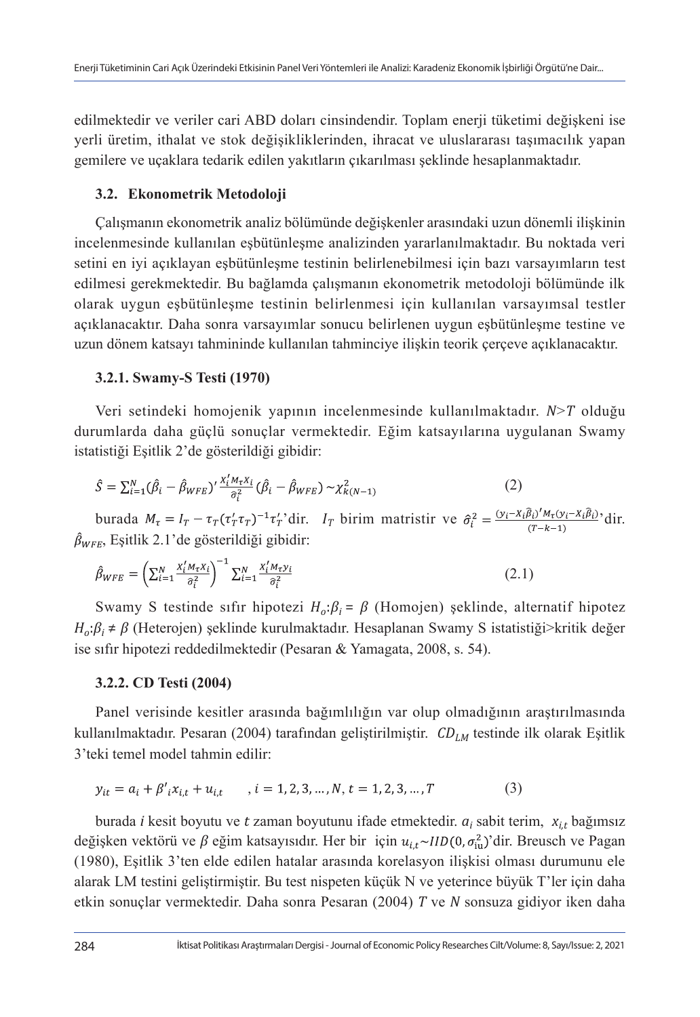edilmektedir ve veriler cari ABD doları cinsindendir. Toplam enerji tüketimi değişkeni ise yerli üretim, ithalat ve stok değişikliklerinden, ihracat ve uluslararası taşımacılık yapan gemilere ve uçaklara tedarik edilen yakıtların çıkarılması şeklinde hesaplanmaktadır.

### **3.2. Ekonometrik Metodoloji**

Çalışmanın ekonometrik analiz bölümünde değişkenler arasındaki uzun dönemli ilişkinin incelenmesinde kullanılan eşbütünleşme analizinden yararlanılmaktadır. Bu noktada veri setini en iyi açıklayan eşbütünleşme testinin belirlenebilmesi için bazı varsayımların test edilmesi gerekmektedir. Bu bağlamda çalışmanın ekonometrik metodoloji bölümünde ilk olarak uygun eşbütünleşme testinin belirlenmesi için kullanılan varsayımsal testler açıklanacaktır. Daha sonra varsayımlar sonucu belirlenen uygun eşbütünleşme testine ve uzun dönem katsayı tahmininde kullanılan tahminciye ilişkin teorik çerçeve açıklanacaktır.

### **3.2.1. Swamy-S Testi (1970)**

Veri setindeki homojenik yapının incelenmesinde kullanılmaktadır. *N*>*T* olduğu durumlarda daha güçlü sonuçlar vermektedir. Eğim katsayılarına uygulanan Swamy istatistiği Eşitlik 2'de gösterildiği gibidir:

$$
\hat{S} = \sum_{i=1}^{N} (\hat{\beta}_i - \hat{\beta}_{WFE})' \frac{x_i' M_\tau x_i}{\hat{\sigma}_i^2} (\hat{\beta}_i - \hat{\beta}_{WFE}) \sim \chi^2_{k(N-1)}
$$
(2)

burada  $M_{\tau} = I_T - \tau_T (\tau'_T \tau_T)^{-1} \tau'_T$ 'dir.  $I_T$  birim matristir ve  $\hat{\sigma}_i^2 = \frac{(y_i - x_i \hat{\beta}_i)' M_{\tau}(y_i - x_i \hat{\beta}_i)}{(T - k - 1)}$ 'dir.  $\hat{\beta}_{WFE}$ , Eşitlik 2.1'de gösterildiği gibidir:

$$
\hat{\beta}_{WFE} = \left(\sum_{i=1}^{N} \frac{x_i^{\prime} M_{\tau} x_i}{\hat{\sigma}_i^2}\right)^{-1} \sum_{i=1}^{N} \frac{x_i^{\prime} M_{\tau} y_i}{\hat{\sigma}_i^2}
$$
\n(2.1)

Swamy S testinde sifir hipotezi *H*<sub>o</sub>: $β$ <sub>*i*</sub> =  $β$  (Homojen) şeklinde, alternatif hipotez *Ho*:*β<sup>i</sup>* ≠ *β* (Heterojen) şeklinde kurulmaktadır. Hesaplanan Swamy S istatistiği>kritik değer ise sıfır hipotezi reddedilmektedir (Pesaran & Yamagata, 2008, s. 54).

### **3.2.2. CD Testi (2004)**

Panel verisinde kesitler arasında bağımlılığın var olup olmadığının araştırılmasında kullanılmaktadır. Pesaran (2004) tarafından geliştirilmiştir. CD<sub>LM</sub> testinde ilk olarak Eşitlik 3'teki temel model tahmin edilir:

$$
y_{it} = a_i + \beta'_{i} x_{i,t} + u_{i,t} \qquad, i = 1, 2, 3, ..., N, t = 1, 2, 3, ..., T
$$
 (3)

burada *i* kesit boyutu ve *t* zaman boyutunu ifade etmektedir. *ai* sabit terim, *xi,t* bağımsız değişken vektörü ve  $\beta$  eğim katsayısıdır. Her bir için  $u_{i,t} \sim \text{IID}(0, \sigma_{\text{iu}}^2)$ 'dir. Breusch ve Pagan (1980), Eşitlik 3'ten elde edilen hatalar arasında korelasyon ilişkisi olması durumunu ele alarak LM testini geliştirmiştir. Bu test nispeten küçük N ve yeterince büyük T'ler için daha etkin sonuçlar vermektedir. Daha sonra Pesaran (2004) *T* ve *N* sonsuza gidiyor iken daha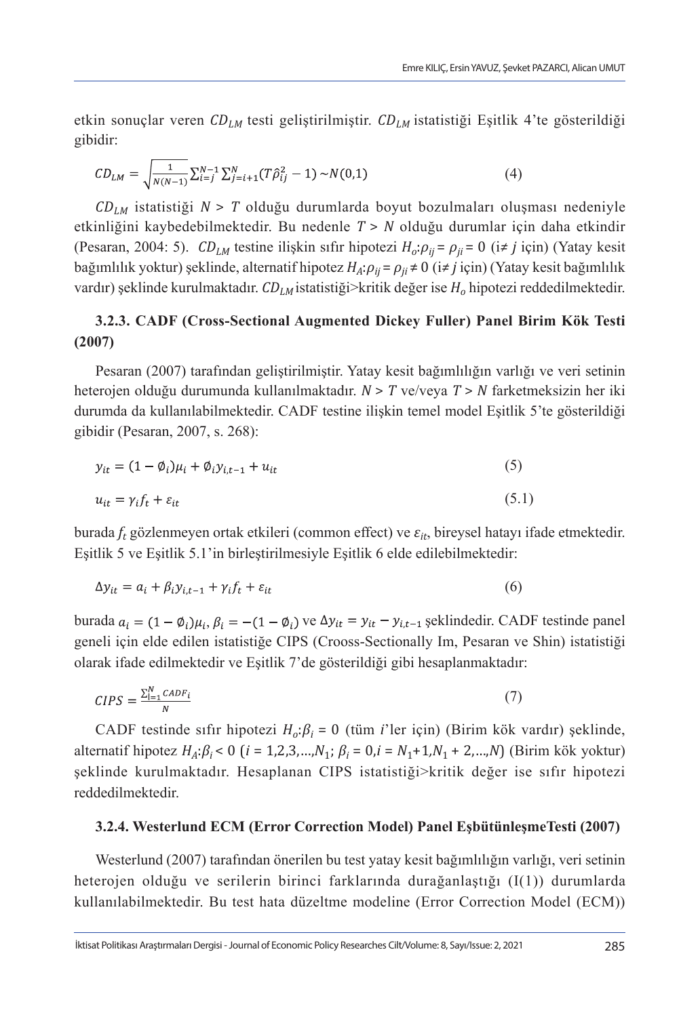etkin sonuçlar veren *CDLM* testi geliştirilmiştir. *CDLM* istatistiği Eşitlik 4'te gösterildiği gibidir:

$$
CD_{LM} = \sqrt{\frac{1}{N(N-1)}} \sum_{i=j}^{N-1} \sum_{j=i+1}^{N} (T\hat{\rho}_{ij}^2 - 1) \sim N(0,1)
$$
 (4)

*CDLM* istatistiği *N* > *T* olduğu durumlarda boyut bozulmaları oluşması nedeniyle etkinliğini kaybedebilmektedir. Bu nedenle *T* > *N* olduğu durumlar için daha etkindir (Pesaran, 2004: 5). *CDLM* testine ilişkin sıfır hipotezi *Ho*:*ρij* = *ρji* = 0 (i*≠ j* için) (Yatay kesit bağımlılık yoktur) şeklinde, alternatif hipotez *HA*:*ρij* = *ρji* ≠ 0 (i*≠ j* için) (Yatay kesit bağımlılık vardır) şeklinde kurulmaktadır. *CD<sub>LM</sub>* istatistiği>kritik değer ise *H*<sub>o</sub> hipotezi reddedilmektedir.

## **3.2.3. CADF (Cross-Sectional Augmented Dickey Fuller) Panel Birim Kök Testi (2007)**

Pesaran (2007) tarafından geliştirilmiştir. Yatay kesit bağımlılığın varlığı ve veri setinin heterojen olduğu durumunda kullanılmaktadır. *N* > *T* ve/veya *T* > *N* farketmeksizin her iki durumda da kullanılabilmektedir. CADF testine ilişkin temel model Eşitlik 5'te gösterildiği gibidir (Pesaran, 2007, s. 268):

$$
y_{it} = (1 - \phi_i)\mu_i + \phi_i y_{i, t-1} + u_{it}
$$
\n(5)

$$
u_{it} = \gamma_i f_t + \varepsilon_{it} \tag{5.1}
$$

burada *ft* gözlenmeyen ortak etkileri (common effect) ve *εit*, bireysel hatayı ifade etmektedir. Eşitlik 5 ve Eşitlik 5.1'in birleştirilmesiyle Eşitlik 6 elde edilebilmektedir:

$$
\Delta y_{it} = a_i + \beta_i y_{i,t-1} + \gamma_i f_t + \varepsilon_{it} \tag{6}
$$

burada  $a_i = (1 - \phi_i)\mu_i$ ,  $\beta_i = -(1 - \phi_i)$  ve  $\Delta y_{it} = y_{it} - y_{i,t-1}$  șeklindedir. CADF testinde panel geneli için elde edilen istatistiğe CIPS (Crooss-Sectionally Im, Pesaran ve Shin) istatistiği olarak ifade edilmektedir ve Eşitlik 7'de gösterildiği gibi hesaplanmaktadır:

$$
CIPS = \frac{\sum_{i=1}^{N} CADF_i}{N} \tag{7}
$$

CADF testinde sıfır hipotezi *Ho*:*β<sup>i</sup>* = 0 (tüm *i*'ler için) (Birim kök vardır) şeklinde, alternatif hipotez  $H_A: \beta_i < 0$  (*i* = 1,2,3,…, $N_1$ ;  $\beta_i = 0$ ,*i* =  $N_1 + 1$ , $N_1 + 2$ ,…, $N$ ) (Birim kök yoktur) şeklinde kurulmaktadır. Hesaplanan CIPS istatistiği>kritik değer ise sıfır hipotezi reddedilmektedir.

#### **3.2.4. Westerlund ECM (Error Correction Model) Panel EşbütünleşmeTesti (2007)**

Westerlund (2007) tarafından önerilen bu test yatay kesit bağımlılığın varlığı, veri setinin heterojen olduğu ve serilerin birinci farklarında durağanlaştığı (I(1)) durumlarda kullanılabilmektedir. Bu test hata düzeltme modeline (Error Correction Model (ECM))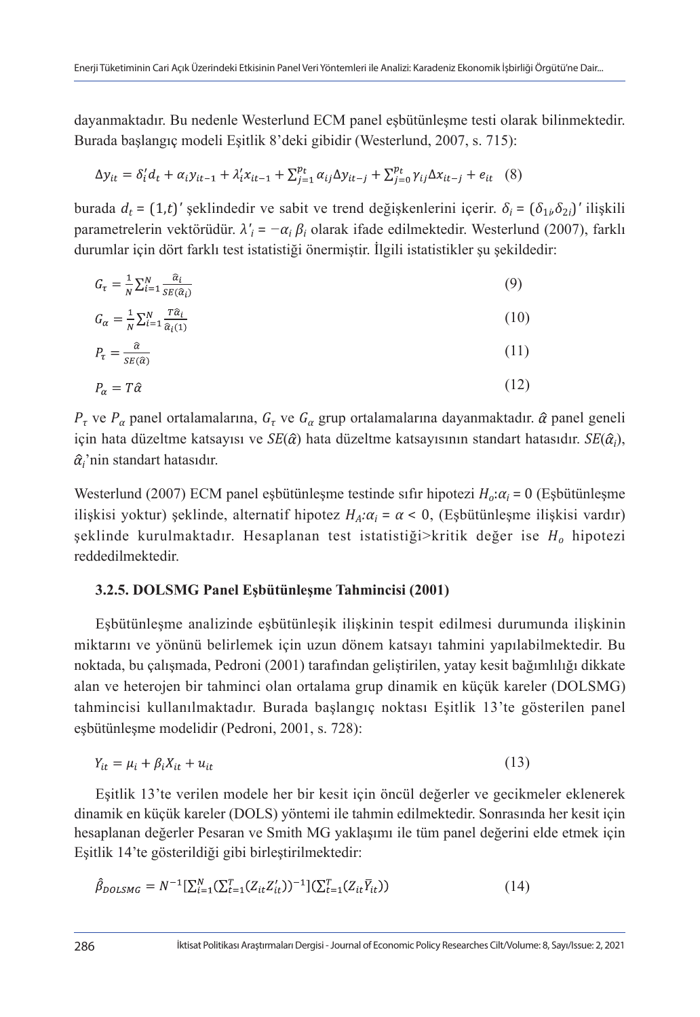dayanmaktadır. Bu nedenle Westerlund ECM panel eşbütünleşme testi olarak bilinmektedir. Burada başlangıç modeli Eşitlik 8'deki gibidir (Westerlund, 2007, s. 715):

$$
\Delta y_{it} = \delta'_i d_t + \alpha_i y_{it-1} + \lambda'_i x_{it-1} + \sum_{j=1}^{p_t} \alpha_{ij} \Delta y_{it-j} + \sum_{j=0}^{p_t} \gamma_{ij} \Delta x_{it-j} + e_{it} \quad (8)
$$

burada  $d_t = (1,t)'$  şeklindedir ve sabit ve trend değişkenlerini içerir.  $\delta_i = (\delta_{1i} \delta_{2i})'$  ilişkili parametrelerin vektörüdür. *λ'<sup>i</sup>* = *−α<sup>i</sup> βi* olarak ifade edilmektedir. Westerlund (2007), farklı durumlar için dört farklı test istatistiği önermiştir. İlgili istatistikler şu şekildedir:

$$
G_{\tau} = \frac{1}{N} \sum_{i=1}^{N} \frac{\hat{\alpha}_i}{SE(\hat{\alpha}_i)} \tag{9}
$$

$$
G_{\alpha} = \frac{1}{N} \sum_{i=1}^{N} \frac{T \hat{\alpha}_i}{\hat{\alpha}_i(1)} \tag{10}
$$

$$
P_{\tau} = \frac{\hat{\alpha}}{SE(\hat{\alpha})} \tag{11}
$$

$$
P_{\alpha} = T\hat{\alpha} \tag{12}
$$

 $P_{\tau}$  ve  $P_{\alpha}$  panel ortalamalarına,  $G_{\tau}$  ve  $G_{\alpha}$  grup ortalamalarına dayanmaktadır.  $\hat{\alpha}$  panel geneli için hata düzeltme katsayısı ve  $SE(\hat{\alpha})$  hata düzeltme katsayısının standart hatasıdır.  $SE(\hat{\alpha_i}),$ *i* 'nin standart hatasıdır.

Westerlund (2007) ECM panel eşbütünleşme testinde sıfır hipotezi *Ho*:*α<sup>i</sup>* = 0 (Eşbütünleşme ilişkisi yoktur) şeklinde, alternatif hipotez  $H_A: \alpha_i = \alpha < 0$ , (Eşbütünleşme ilişkisi vardır) şeklinde kurulmaktadır. Hesaplanan test istatistiği>kritik değer ise *Ho* hipotezi reddedilmektedir.

#### **3.2.5. DOLSMG Panel Eşbütünleşme Tahmincisi (2001)**

Eşbütünleşme analizinde eşbütünleşik ilişkinin tespit edilmesi durumunda ilişkinin miktarını ve yönünü belirlemek için uzun dönem katsayı tahmini yapılabilmektedir. Bu noktada, bu çalışmada, Pedroni (2001) tarafından geliştirilen, yatay kesit bağımlılığı dikkate alan ve heterojen bir tahminci olan ortalama grup dinamik en küçük kareler (DOLSMG) tahmincisi kullanılmaktadır. Burada başlangıç noktası Eşitlik 13'te gösterilen panel eşbütünleşme modelidir (Pedroni, 2001, s. 728):

$$
Y_{it} = \mu_i + \beta_i X_{it} + u_{it} \tag{13}
$$

Eşitlik 13'te verilen modele her bir kesit için öncül değerler ve gecikmeler eklenerek dinamik en küçük kareler (DOLS) yöntemi ile tahmin edilmektedir. Sonrasında her kesit için hesaplanan değerler Pesaran ve Smith MG yaklaşımı ile tüm panel değerini elde etmek için Eşitlik 14'te gösterildiği gibi birleştirilmektedir:

$$
\hat{\beta}_{DOLSMG} = N^{-1} [\sum_{i=1}^{N} (\sum_{t=1}^{T} (Z_{it} Z_{it}'))^{-1}] (\sum_{t=1}^{T} (Z_{it} \overline{Y}_{it}))
$$
\n(14)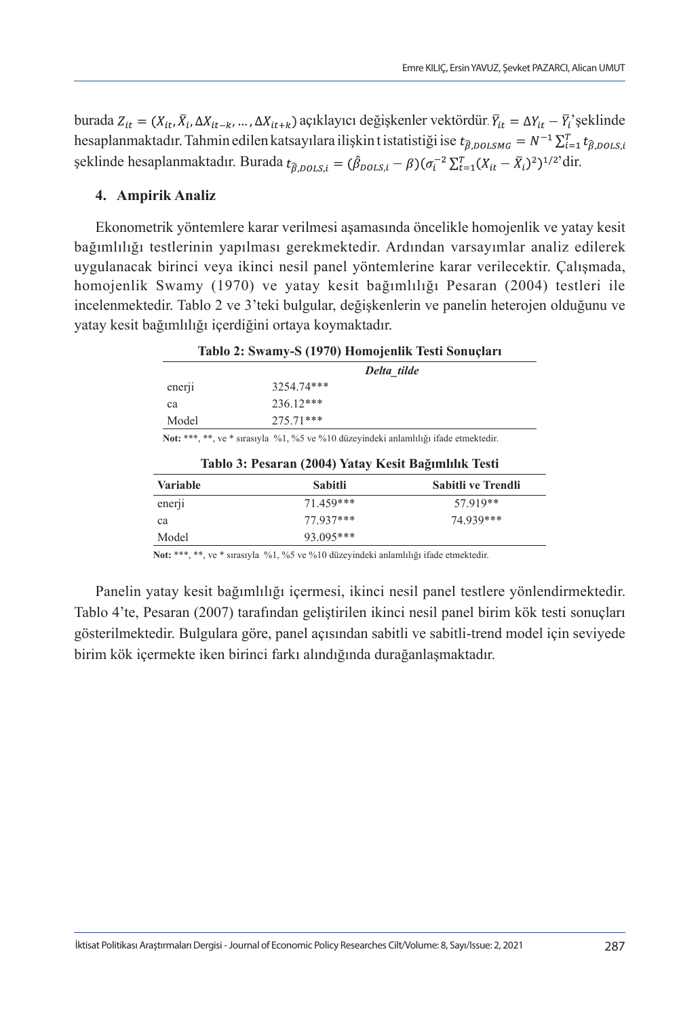burada  $Z_{it} = (X_{it}, \overline{X}_i, \Delta X_{it-k}, ..., \Delta X_{it+k})$  açıklayıcı değişkenler vektördür.  $\overline{Y}_{it} = \Delta Y_{it} - \overline{Y}_i$ 'şeklinde hesaplanmaktadır. Tahmin edilen katsayılara ilişkin t istatistiği ise  $t_{\hat{\beta},DOLSMG} = N^{-1} \sum_{i=1}^{T} t_{\hat{\beta},DOLS,i}$ şeklinde hesaplanmaktadır. Burada  $t_{\hat{\beta},DOLS,i} = (\hat{\beta}_{DOLS,i} - \beta)(\sigma_i^{-2} \sum_{t=1}^{T} (X_{it} - \overline{X}_i)^2)^{1/2}$ dir.

#### **4. Ampirik Analiz**

Ekonometrik yöntemlere karar verilmesi aşamasında öncelikle homojenlik ve yatay kesit bağımlılığı testlerinin yapılması gerekmektedir. Ardından varsayımlar analiz edilerek uygulanacak birinci veya ikinci nesil panel yöntemlerine karar verilecektir. Çalışmada, homojenlik Swamy (1970) ve yatay kesit bağımlılığı Pesaran (2004) testleri ile incelenmektedir. Tablo 2 ve 3'teki bulgular, değişkenlerin ve panelin heterojen olduğunu ve yatay kesit bağımlılığı içerdiğini ortaya koymaktadır.

| Tablo 2: Swamy-S (1970) Homojenlik Testi Sonuçları |                                                                                      |                    |  |  |
|----------------------------------------------------|--------------------------------------------------------------------------------------|--------------------|--|--|
|                                                    | Delta tilde                                                                          |                    |  |  |
| ener <sub>11</sub>                                 | 3254.74***                                                                           |                    |  |  |
| ca                                                 | 236.12***                                                                            |                    |  |  |
| Model                                              | 275.71***                                                                            |                    |  |  |
|                                                    | Not: ***, **, ve * sırasıyla %1, %5 ve %10 düzeyindeki anlamlılığı ifade etmektedir. |                    |  |  |
|                                                    | Tablo 3: Pesaran (2004) Yatay Kesit Bağımlılık Testi                                 |                    |  |  |
| <b>Variable</b>                                    | <b>Sabitli</b>                                                                       | Sabitli ve Trendli |  |  |
| enerji                                             | 71.459***                                                                            | 57.919**           |  |  |
| ca                                                 | 77.937***                                                                            | 74.939***          |  |  |
| Model                                              | 93.095***                                                                            |                    |  |  |

**Not:** \*\*\*, \*\*, ve \* sırasıyla %1, %5 ve %10 düzeyindeki anlamlılığı ifade etmektedir.

Panelin yatay kesit bağımlılığı içermesi, ikinci nesil panel testlere yönlendirmektedir. Tablo 4'te, Pesaran (2007) tarafından geliştirilen ikinci nesil panel birim kök testi sonuçları gösterilmektedir. Bulgulara göre, panel açısından sabitli ve sabitli-trend model için seviyede birim kök içermekte iken birinci farkı alındığında durağanlaşmaktadır.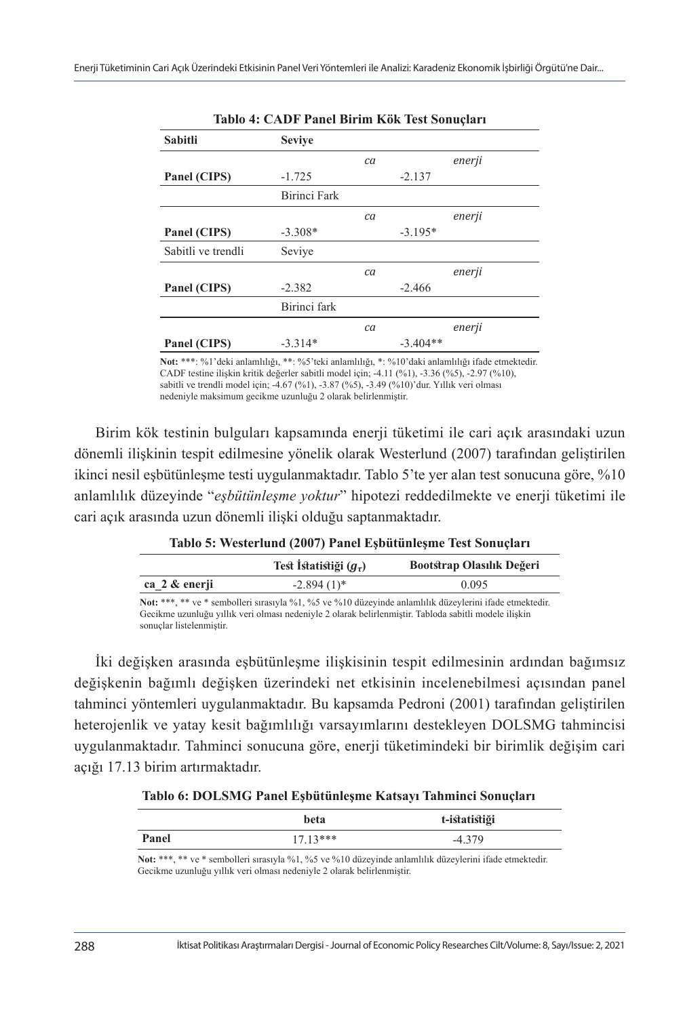| Sabitli            | <b>Seviye</b> |    |            |        |
|--------------------|---------------|----|------------|--------|
|                    |               | ca |            | enerji |
| Panel (CIPS)       | $-1.725$      |    | $-2.137$   |        |
|                    | Birinci Fark  |    |            |        |
|                    |               | ca |            | enerji |
| Panel (CIPS)       | $-3.308*$     |    | $-3.195*$  |        |
| Sabitli ve trendli | Seviye        |    |            |        |
|                    |               | ca |            | enerji |
| Panel (CIPS)       | $-2.382$      |    | $-2.466$   |        |
|                    | Birinci fark  |    |            |        |
|                    |               | ca |            | enerji |
| Panel (CIPS)       | $-3.314*$     |    | $-3.404**$ |        |

**Tablo 4: CADF Panel Birim Kök Test Sonuçları**

**Not:** \*\*\*: %1'deki anlamlılığı, \*\*: %5'teki anlamlılığı, \*: %10'daki anlamlılığı ifade etmektedir. CADF testine ilişkin kritik değerler sabitli model için; -4.11 (%1), -3.36 (%5), -2.97 (%10), sabitli ve trendli model için; -4.67 (%1), -3.87 (%5), -3.49 (%10)'dur. Yıllık veri olması nedeniyle maksimum gecikme uzunluğu 2 olarak belirlenmiştir.

Birim kök testinin bulguları kapsamında enerji tüketimi ile cari açık arasındaki uzun dönemli ilişkinin tespit edilmesine yönelik olarak Westerlund (2007) tarafından geliştirilen ikinci nesil eşbütünleşme testi uygulanmaktadır. Tablo 5'te yer alan test sonucuna göre, %10 anlamlılık düzeyinde "*eşbütünleşme yoktur*" hipotezi reddedilmekte ve enerji tüketimi ile cari açık arasında uzun dönemli ilişki olduğu saptanmaktadır.

| Tublo of Westerland (2007) I and Equatum quite rest Somaçãor |                             |                           |  |
|--------------------------------------------------------------|-----------------------------|---------------------------|--|
|                                                              | Test İstatistiği $(q_\tau)$ | Bootstrap Olasılık Değeri |  |
| ca 2 & enerji                                                | $-2.894(1)$ *               | 0.095                     |  |

**Tablo 5: Westerlund (2007) Panel Eşbütünleşme Test Sonuçları**

**Not:** \*\*\*, \*\* ve \* sembolleri sırasıyla %1, %5 ve %10 düzeyinde anlamlılık düzeylerini ifade etmektedir. Gecikme uzunluğu yıllık veri olması nedeniyle 2 olarak belirlenmiştir. Tabloda sabitli modele ilişkin sonuçlar listelenmiştir.

İki değişken arasında eşbütünleşme ilişkisinin tespit edilmesinin ardından bağımsız değişkenin bağımlı değişken üzerindeki net etkisinin incelenebilmesi açısından panel tahminci yöntemleri uygulanmaktadır. Bu kapsamda Pedroni (2001) tarafından geliştirilen heterojenlik ve yatay kesit bağımlılığı varsayımlarını destekleyen DOLSMG tahmincisi uygulanmaktadır. Tahminci sonucuna göre, enerji tüketimindeki bir birimlik değişim cari açığı 17.13 birim artırmaktadır.

**Tablo 6: DOLSMG Panel Eşbütünleşme Katsayı Tahminci Sonuçları**

|       | beta       | t-istatistiği |  |
|-------|------------|---------------|--|
| Panel | $17.13***$ | $-4.379$      |  |

**Not:** \*\*\*, \*\* ve \* sembolleri sırasıyla %1, %5 ve %10 düzeyinde anlamlılık düzeylerini ifade etmektedir. Gecikme uzunluğu yıllık veri olması nedeniyle 2 olarak belirlenmiştir.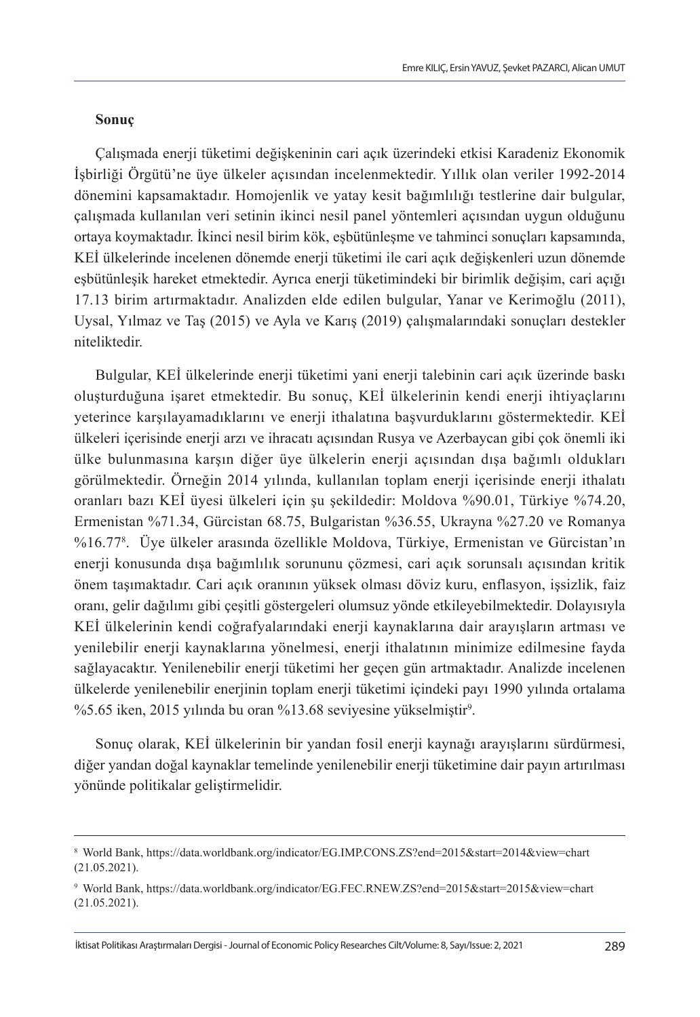#### **Sonuç**

Çalışmada enerji tüketimi değişkeninin cari açık üzerindeki etkisi Karadeniz Ekonomik İşbirliği Örgütü'ne üye ülkeler açısından incelenmektedir. Yıllık olan veriler 1992-2014 dönemini kapsamaktadır. Homojenlik ve yatay kesit bağımlılığı testlerine dair bulgular, çalışmada kullanılan veri setinin ikinci nesil panel yöntemleri açısından uygun olduğunu ortaya koymaktadır. İkinci nesil birim kök, eşbütünleşme ve tahminci sonuçları kapsamında, KEİ ülkelerinde incelenen dönemde enerji tüketimi ile cari açık değişkenleri uzun dönemde eşbütünleşik hareket etmektedir. Ayrıca enerji tüketimindeki bir birimlik değişim, cari açığı 17.13 birim artırmaktadır. Analizden elde edilen bulgular, Yanar ve Kerimoğlu (2011), Uysal, Yılmaz ve Taş (2015) ve Ayla ve Karış (2019) çalışmalarındaki sonuçları destekler niteliktedir.

Bulgular, KEİ ülkelerinde enerji tüketimi yani enerji talebinin cari açık üzerinde baskı oluşturduğuna işaret etmektedir. Bu sonuç, KEİ ülkelerinin kendi enerji ihtiyaçlarını yeterince karşılayamadıklarını ve enerji ithalatına başvurduklarını göstermektedir. KEİ ülkeleri içerisinde enerji arzı ve ihracatı açısından Rusya ve Azerbaycan gibi çok önemli iki ülke bulunmasına karşın diğer üye ülkelerin enerji açısından dışa bağımlı oldukları görülmektedir. Örneğin 2014 yılında, kullanılan toplam enerji içerisinde enerji ithalatı oranları bazı KEİ üyesi ülkeleri için şu şekildedir: Moldova %90.01, Türkiye %74.20, Ermenistan %71.34, Gürcistan 68.75, Bulgaristan %36.55, Ukrayna %27.20 ve Romanya %16.778 . Üye ülkeler arasında özellikle Moldova, Türkiye, Ermenistan ve Gürcistan'ın enerji konusunda dışa bağımlılık sorununu çözmesi, cari açık sorunsalı açısından kritik önem taşımaktadır. Cari açık oranının yüksek olması döviz kuru, enflasyon, işsizlik, faiz oranı, gelir dağılımı gibi çeşitli göstergeleri olumsuz yönde etkileyebilmektedir. Dolayısıyla KEİ ülkelerinin kendi coğrafyalarındaki enerji kaynaklarına dair arayışların artması ve yenilebilir enerji kaynaklarına yönelmesi, enerji ithalatının minimize edilmesine fayda sağlayacaktır. Yenilenebilir enerji tüketimi her geçen gün artmaktadır. Analizde incelenen ülkelerde yenilenebilir enerjinin toplam enerji tüketimi içindeki payı 1990 yılında ortalama %5.65 iken, 2015 yılında bu oran %13.68 seviyesine yükselmiştir<sup>9</sup>.

Sonuç olarak, KEİ ülkelerinin bir yandan fosil enerji kaynağı arayışlarını sürdürmesi, diğer yandan doğal kaynaklar temelinde yenilenebilir enerji tüketimine dair payın artırılması yönünde politikalar geliştirmelidir.

<sup>8</sup> World Bank, https://data.worldbank.org/indicator/EG.IMP.CONS.ZS?end=2015&start=2014&view=chart (21.05.2021).

<sup>9</sup> World Bank, https://data.worldbank.org/indicator/EG.FEC.RNEW.ZS?end=2015&start=2015&view=chart (21.05.2021).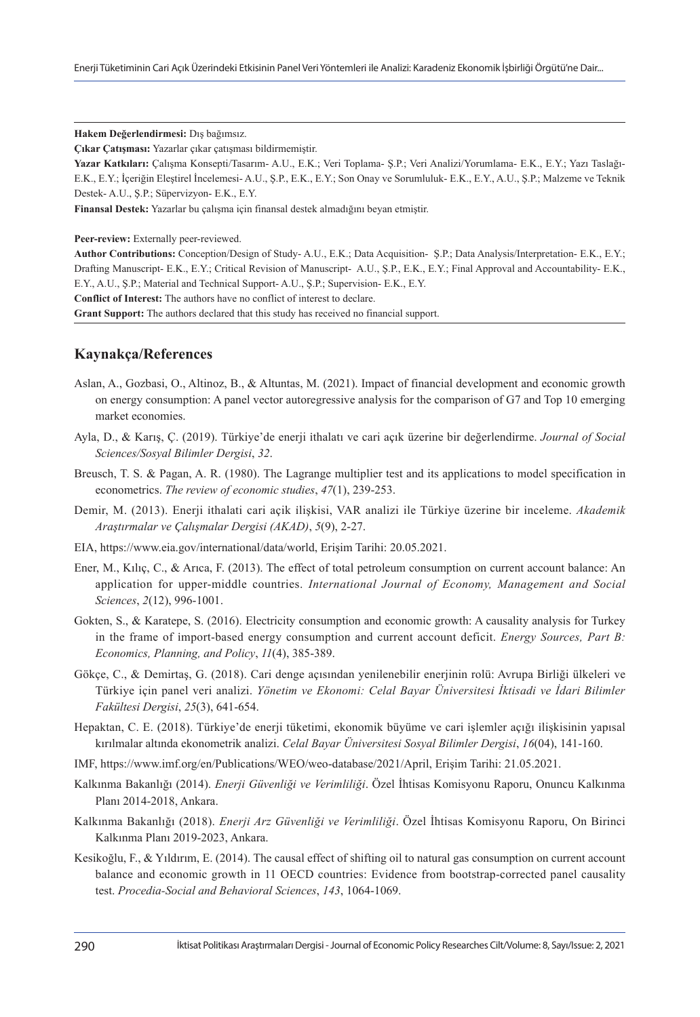**Hakem Değerlendirmesi:** Dış bağımsız.

**Çıkar Çatışması:** Yazarlar çıkar çatışması bildirmemiştir.

**Yazar Katkıları:** Çalışma Konsepti/Tasarım- A.U., E.K.; Veri Toplama- Ş.P.; Veri Analizi/Yorumlama- E.K., E.Y.; Yazı Taslağı-E.K., E.Y.; İçeriğin Eleştirel İncelemesi- A.U., Ş.P., E.K., E.Y.; Son Onay ve Sorumluluk- E.K., E.Y., A.U., Ş.P.; Malzeme ve Teknik Destek- A.U., Ş.P.; Süpervizyon- E.K., E.Y.

**Finansal Destek:** Yazarlar bu çalışma için finansal destek almadığını beyan etmiştir.

**Peer-review:** Externally peer-reviewed.

**Author Contributions:** Conception/Design of Study- A.U., E.K.; Data Acquisition- Ş.P.; Data Analysis/Interpretation- E.K., E.Y.; Drafting Manuscript- E.K., E.Y.; Critical Revision of Manuscript- A.U., Ş.P., E.K., E.Y.; Final Approval and Accountability- E.K., E.Y., A.U., Ş.P.; Material and Technical Support- A.U., Ş.P.; Supervision- E.K., E.Y.

**Conflict of Interest:** The authors have no conflict of interest to declare.

**Grant Support:** The authors declared that this study has received no financial support.

#### **Kaynakça/References**

- Aslan, A., Gozbasi, O., Altinoz, B., & Altuntas, M. (2021). Impact of financial development and economic growth on energy consumption: A panel vector autoregressive analysis for the comparison of G7 and Top 10 emerging market economies.
- Ayla, D., & Karış, Ç. (2019). Türkiye'de enerji i̇thalatı ve cari açık üzerine bir değerlendirme. *Journal of Social Sciences/Sosyal Bilimler Dergisi*, *32*.
- Breusch, T. S. & Pagan, A. R. (1980). The Lagrange multiplier test and its applications to model specification in econometrics. *The review of economic studies*, *47*(1), 239-253.
- Demir, M. (2013). Enerji i̇thalati cari açik i̇lişkisi, VAR analizi ile Türkiye üzerine bir i̇nceleme. *Akademik Araştırmalar ve Çalışmalar Dergisi (AKAD)*, *5*(9), 2-27.
- EIA, https://www.eia.gov/international/data/world, Erişim Tarihi: 20.05.2021.
- Ener, M., Kılıç, C., & Arıca, F. (2013). The effect of total petroleum consumption on current account balance: An application for upper-middle countries. *International Journal of Economy, Management and Social Sciences*, *2*(12), 996-1001.
- Gokten, S., & Karatepe, S. (2016). Electricity consumption and economic growth: A causality analysis for Turkey in the frame of i̇mport-based energy consumption and current account deficit. *Energy Sources, Part B: Economics, Planning, and Policy*, *11*(4), 385-389.
- Gökçe, C., & Demirtaş, G. (2018). Cari denge açısından yenilenebilir enerjinin rolü: Avrupa Birliği ülkeleri ve Türkiye i̇çin panel veri analizi. *Yönetim ve Ekonomi: Celal Bayar Üniversitesi İktisadi ve İdari Bilimler Fakültesi Dergisi*, *25*(3), 641-654.
- Hepaktan, C. E. (2018). Türkiye'de enerji tüketimi, ekonomik büyüme ve cari i̇şlemler açığı i̇lişkisinin yapısal kırılmalar altında ekonometrik analizi. *Celal Bayar Üniversitesi Sosyal Bilimler Dergisi*, *16*(04), 141-160.
- IMF, https://www.imf.org/en/Publications/WEO/weo-database/2021/April, Erişim Tarihi: 21.05.2021.
- Kalkınma Bakanlığı (2014). *Enerji Güvenliği ve Verimliliği*. Özel İhtisas Komisyonu Raporu, Onuncu Kalkınma Planı 2014-2018, Ankara.
- Kalkınma Bakanlığı (2018). *Enerji Arz Güvenliği ve Verimliliği*. Özel İhtisas Komisyonu Raporu, On Birinci Kalkınma Planı 2019-2023, Ankara.
- Kesikoğlu, F., & Yıldırım, E. (2014). The causal effect of shifting oil to natural gas consumption on current account balance and economic growth in 11 OECD countries: Evidence from bootstrap-corrected panel causality test. *Procedia-Social and Behavioral Sciences*, *143*, 1064-1069.